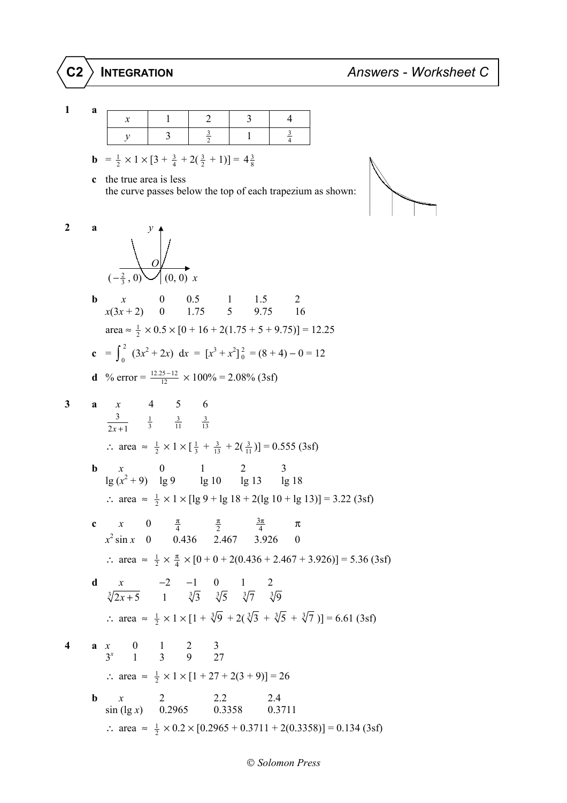1  
\na  
\n
$$
y
$$
\n3\n $\frac{1}{2}$ \n1\n $\frac{1}{4}$ \n  
\nb =  $\frac{1}{2} \times 1 \times [3 + \frac{3}{4} + 2(\frac{3}{2} + 1)] = 4\frac{3}{8}$   
\nc the true area is less  
\nthe curve passes below the top of each trapezium as shown:  
\n2  
\na  
\n $y$   
\n $(-\frac{2}{3}, 0)$ \n $(0, 0)$  x  
\nb  
\n $x$ \n $x$ \n $0$ \n $0.5$ \n $1$ \n $1.5$ \n $2$ \n $x(3x + 2)$ \n $0$ \n $1.75$ \n $5$ \n $9.75$ \n $16$ \n $\arca \approx \frac{1}{2} \times 0.5 \times [0 + 16 + 2(1.75 + 5 + 9.75)] = 12.25$   
\nc =  $\int_0^2 (3x^2 + 2x) dx = [x^3 + x^2]_0^2 = (8 + 4) - 0 = 12$   
\nd % error =  $\frac{12.25-12}{12} \times 100\% = 2.08\% (3sf)$   
\n3  
\na  $x$ \n4\n5\n6  
\n $\frac{3}{2x + 1}$ \n $\frac{1}{3}$ \n $\frac{3}{11}$ \n $\frac{3}{13}$ \n $\therefore$  area  $\approx \frac{1}{2} \times 1 \times [\frac{1}{3} + \frac{3}{13} + 2(\frac{3}{11})] = 0.555 (3sf)$   
\nb  $x$ \n $x$ \n $0$ \n $1$ \n $2$ \n $3$ \n $\therefore$  area  $\approx \frac{1}{2} \times 1 \times [\lg 9 + \lg 18 + 2(\lg 10 + \lg 13)] = 3.22 (3sf)$   
\nc  $x$ \n $0$ \n $\frac{\pi}{4}$ \n $\frac{\pi}{2}$ \n $\frac{3\pi}{4}$ \n $\pi$ 

∴ area  $\approx \frac{1}{2} \times 0.2 \times [0.2965 + 0.3711 + 2(0.3358)] = 0.134$  (3sf)